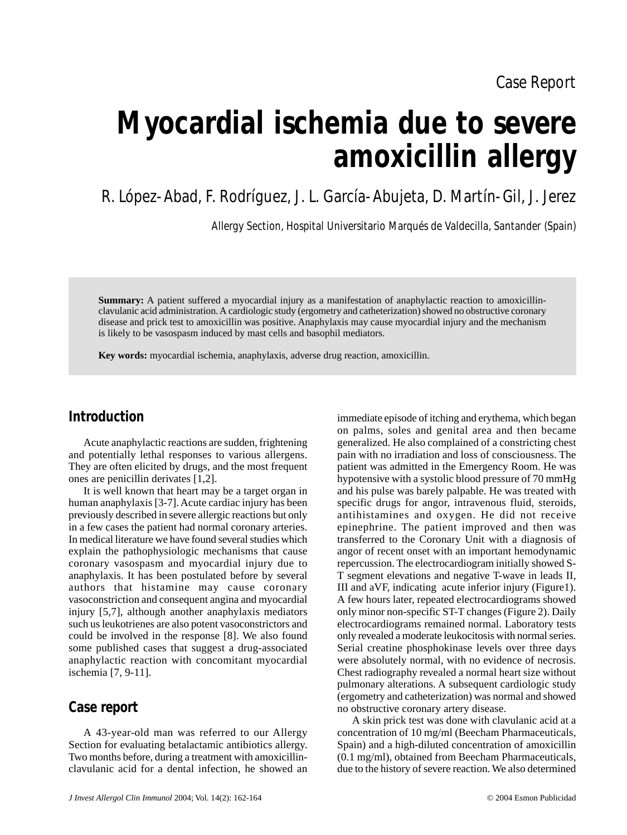# **Myocardial ischemia due to severe amoxicillin allergy**

R. López-Abad, F. Rodríguez, J. L. García-Abujeta, D. Martín-Gil, J. Jerez

Allergy Section, Hospital Universitario Marqués de Valdecilla, Santander (Spain)

**Summary:** A patient suffered a myocardial injury as a manifestation of anaphylactic reaction to amoxicillinclavulanic acid administration. A cardiologic study (ergometry and catheterization) showed no obstructive coronary disease and prick test to amoxicillin was positive. Anaphylaxis may cause myocardial injury and the mechanism is likely to be vasospasm induced by mast cells and basophil mediators.

**Key words:** myocardial ischemia, anaphylaxis, adverse drug reaction, amoxicillin.

## **Introduction**

Acute anaphylactic reactions are sudden, frightening and potentially lethal responses to various allergens. They are often elicited by drugs, and the most frequent ones are penicillin derivates [1,2].

It is well known that heart may be a target organ in human anaphylaxis [3-7]. Acute cardiac injury has been previously described in severe allergic reactions but only in a few cases the patient had normal coronary arteries. In medical literature we have found several studies which explain the pathophysiologic mechanisms that cause coronary vasospasm and myocardial injury due to anaphylaxis. It has been postulated before by several authors that histamine may cause coronary vasoconstriction and consequent angina and myocardial injury [5,7], although another anaphylaxis mediators such us leukotrienes are also potent vasoconstrictors and could be involved in the response [8]. We also found some published cases that suggest a drug-associated anaphylactic reaction with concomitant myocardial ischemia [7, 9-11].

## **Case report**

A 43-year-old man was referred to our Allergy Section for evaluating betalactamic antibiotics allergy. Two months before, during a treatment with amoxicillinclavulanic acid for a dental infection, he showed an

on palms, soles and genital area and then became generalized. He also complained of a constricting chest pain with no irradiation and loss of consciousness. The patient was admitted in the Emergency Room. He was hypotensive with a systolic blood pressure of 70 mmHg and his pulse was barely palpable. He was treated with specific drugs for angor, intravenous fluid, steroids, antihistamines and oxygen. He did not receive epinephrine. The patient improved and then was transferred to the Coronary Unit with a diagnosis of angor of recent onset with an important hemodynamic repercussion. The electrocardiogram initially showed S-T segment elevations and negative T-wave in leads II, III and aVF, indicating acute inferior injury (Figure1). A few hours later, repeated electrocardiograms showed only minor non-specific ST-T changes (Figure 2). Daily electrocardiograms remained normal. Laboratory tests only revealed a moderate leukocitosis with normal series. Serial creatine phosphokinase levels over three days were absolutely normal, with no evidence of necrosis. Chest radiography revealed a normal heart size without pulmonary alterations. A subsequent cardiologic study (ergometry and catheterization) was normal and showed no obstructive coronary artery disease.

immediate episode of itching and erythema, which began

A skin prick test was done with clavulanic acid at a concentration of 10 mg/ml (Beecham Pharmaceuticals, Spain) and a high-diluted concentration of amoxicillin (0.1 mg/ml), obtained from Beecham Pharmaceuticals, due to the history of severe reaction. We also determined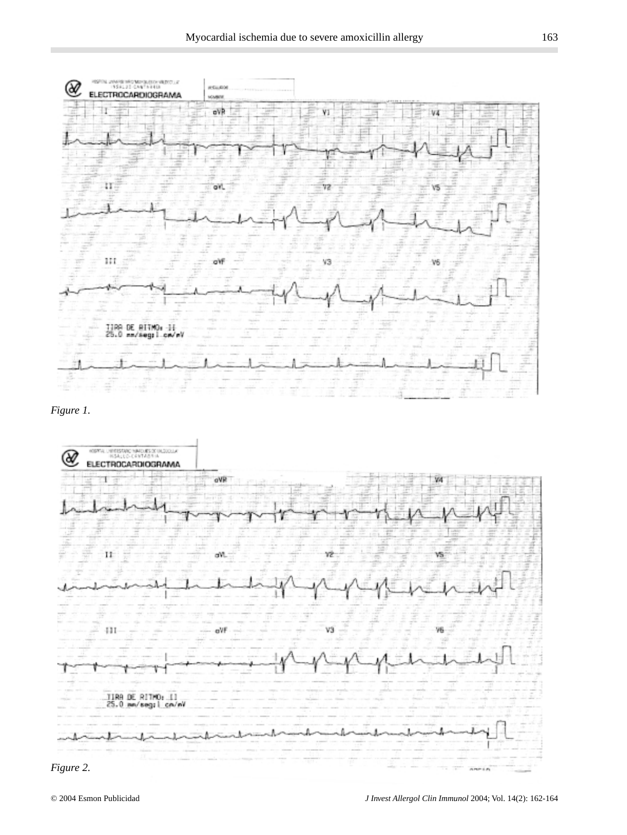







 $n \rightarrow n$